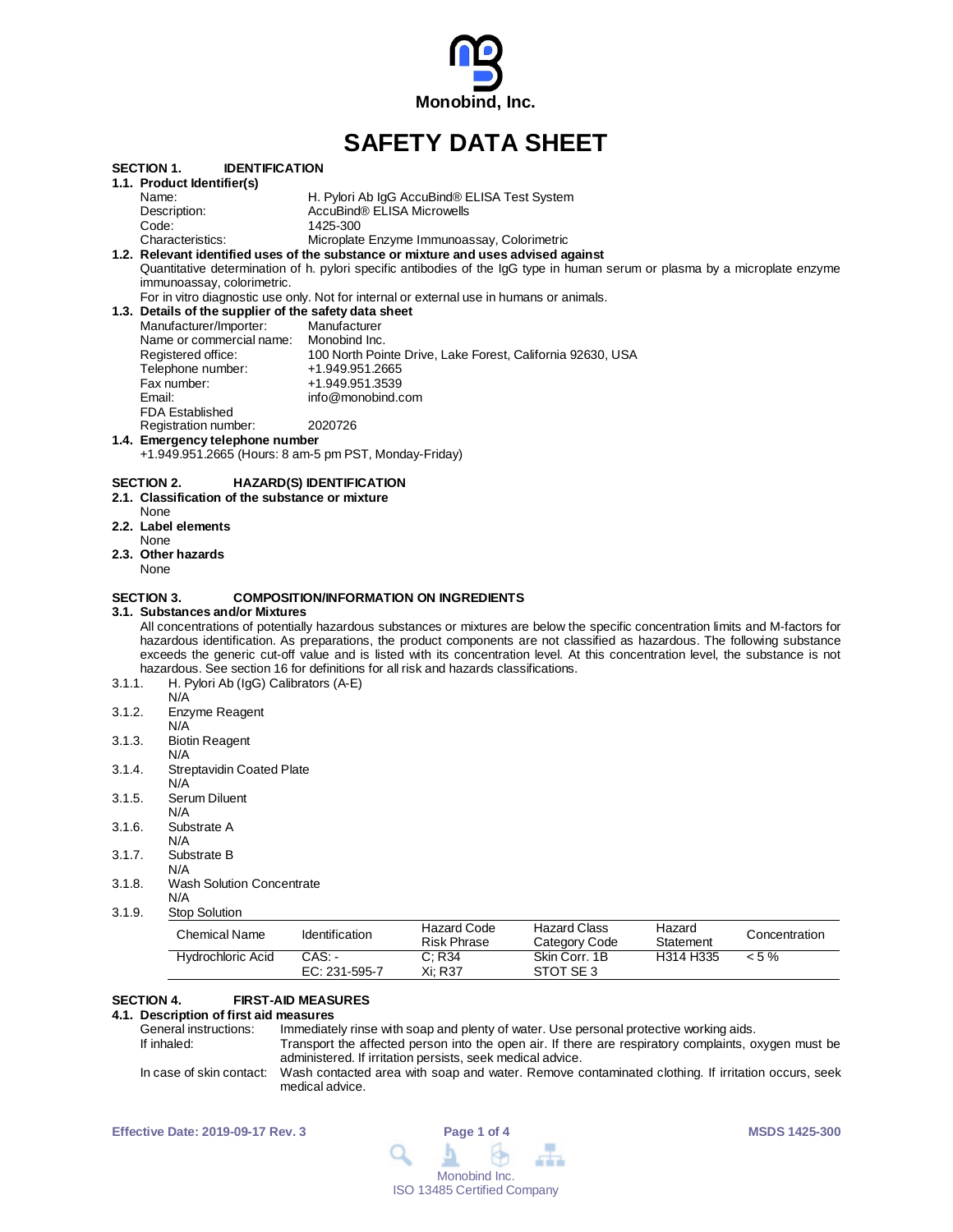

# **SAFETY DATA SHEET**

| 3.1.1.<br>3.1.2.<br>3.1.3.<br>3.1.4.<br>3.1.5.<br>3.1.6.<br>3.1.7.<br>3.1.8.<br>3.1.9. | Enzyme Reagent<br>N/A<br><b>Biotin Reagent</b><br>N/A<br><b>Streptavidin Coated Plate</b><br>N/A<br>Serum Diluent<br>N/A<br>Substrate A<br>N/A<br>Substrate B<br>N/A<br><b>Wash Solution Concentrate</b><br>N/A<br>Stop Solution<br><b>Chemical Name</b><br><b>Hydrochloric Acid</b> | Identification<br>CAS.               | <b>Hazard Code</b><br><b>Risk Phrase</b><br>C; R34 | <b>Hazard Class</b><br>Category Code<br>Skin Corr. 1B      | Hazard<br>Statement<br>H314 H335 | Concentration<br>$< 5\%$ |
|----------------------------------------------------------------------------------------|--------------------------------------------------------------------------------------------------------------------------------------------------------------------------------------------------------------------------------------------------------------------------------------|--------------------------------------|----------------------------------------------------|------------------------------------------------------------|----------------------------------|--------------------------|
|                                                                                        |                                                                                                                                                                                                                                                                                      |                                      |                                                    |                                                            |                                  |                          |
|                                                                                        |                                                                                                                                                                                                                                                                                      |                                      |                                                    |                                                            |                                  |                          |
|                                                                                        |                                                                                                                                                                                                                                                                                      |                                      |                                                    |                                                            |                                  |                          |
|                                                                                        |                                                                                                                                                                                                                                                                                      |                                      |                                                    |                                                            |                                  |                          |
|                                                                                        |                                                                                                                                                                                                                                                                                      |                                      |                                                    |                                                            |                                  |                          |
|                                                                                        |                                                                                                                                                                                                                                                                                      |                                      |                                                    |                                                            |                                  |                          |
|                                                                                        |                                                                                                                                                                                                                                                                                      |                                      |                                                    |                                                            |                                  |                          |
|                                                                                        |                                                                                                                                                                                                                                                                                      |                                      |                                                    |                                                            |                                  |                          |
|                                                                                        |                                                                                                                                                                                                                                                                                      |                                      |                                                    |                                                            |                                  |                          |
|                                                                                        |                                                                                                                                                                                                                                                                                      |                                      |                                                    |                                                            |                                  |                          |
|                                                                                        |                                                                                                                                                                                                                                                                                      |                                      |                                                    |                                                            |                                  |                          |
|                                                                                        |                                                                                                                                                                                                                                                                                      |                                      |                                                    |                                                            |                                  |                          |
|                                                                                        | N/A                                                                                                                                                                                                                                                                                  |                                      |                                                    |                                                            |                                  |                          |
|                                                                                        | H. Pylori Ab (IgG) Calibrators (A-E)                                                                                                                                                                                                                                                 |                                      |                                                    |                                                            |                                  |                          |
|                                                                                        | exceeds the generic cut-off value and is listed with its concentration level. At this concentration level, the substance is not<br>hazardous. See section 16 for definitions for all risk and hazards classifications.                                                               |                                      |                                                    |                                                            |                                  |                          |
|                                                                                        | hazardous identification. As preparations, the product components are not classified as hazardous. The following substance                                                                                                                                                           |                                      |                                                    |                                                            |                                  |                          |
|                                                                                        | All concentrations of potentially hazardous substances or mixtures are below the specific concentration limits and M-factors for                                                                                                                                                     |                                      |                                                    |                                                            |                                  |                          |
|                                                                                        | 3.1.  Substances and/or Mixtures                                                                                                                                                                                                                                                     |                                      |                                                    |                                                            |                                  |                          |
| <b>SECTION 3.</b>                                                                      |                                                                                                                                                                                                                                                                                      |                                      | <b>COMPOSITION/INFORMATION ON INGREDIENTS</b>      |                                                            |                                  |                          |
| None                                                                                   |                                                                                                                                                                                                                                                                                      |                                      |                                                    |                                                            |                                  |                          |
| None                                                                                   | 2.3. Other hazards                                                                                                                                                                                                                                                                   |                                      |                                                    |                                                            |                                  |                          |
|                                                                                        | 2.2. Label elements                                                                                                                                                                                                                                                                  |                                      |                                                    |                                                            |                                  |                          |
| None                                                                                   |                                                                                                                                                                                                                                                                                      |                                      |                                                    |                                                            |                                  |                          |
| <b>SECTION 2.</b>                                                                      | 2.1. Classification of the substance or mixture                                                                                                                                                                                                                                      | <b>HAZARD(S) IDENTIFICATION</b>      |                                                    |                                                            |                                  |                          |
|                                                                                        |                                                                                                                                                                                                                                                                                      |                                      |                                                    |                                                            |                                  |                          |
|                                                                                        | 1.4. Emergency telephone number<br>+1.949.951.2665 (Hours: 8 am-5 pm PST, Monday-Friday)                                                                                                                                                                                             |                                      |                                                    |                                                            |                                  |                          |
|                                                                                        | Registration number:                                                                                                                                                                                                                                                                 | 2020726                              |                                                    |                                                            |                                  |                          |
|                                                                                        | <b>FDA Established</b>                                                                                                                                                                                                                                                               |                                      |                                                    |                                                            |                                  |                          |
| Email:                                                                                 | Fax number:                                                                                                                                                                                                                                                                          | +1.949.951.3539<br>info@monobind.com |                                                    |                                                            |                                  |                          |
|                                                                                        | Telephone number:                                                                                                                                                                                                                                                                    | +1.949.951.2665                      |                                                    |                                                            |                                  |                          |
|                                                                                        | Registered office:                                                                                                                                                                                                                                                                   |                                      |                                                    | 100 North Pointe Drive, Lake Forest, California 92630, USA |                                  |                          |
|                                                                                        | Name or commercial name: Monobind Inc.                                                                                                                                                                                                                                               |                                      |                                                    |                                                            |                                  |                          |
|                                                                                        | 1.3. Details of the supplier of the safety data sheet<br>Manufacturer/Importer:                                                                                                                                                                                                      | Manufacturer                         |                                                    |                                                            |                                  |                          |
|                                                                                        | For in vitro diagnostic use only. Not for internal or external use in humans or animals.                                                                                                                                                                                             |                                      |                                                    |                                                            |                                  |                          |
|                                                                                        | immunoassay, colorimetric.                                                                                                                                                                                                                                                           |                                      |                                                    |                                                            |                                  |                          |
|                                                                                        | Quantitative determination of h. pylori specific antibodies of the IgG type in human serum or plasma by a microplate enzyme                                                                                                                                                          |                                      |                                                    |                                                            |                                  |                          |
|                                                                                        | Characteristics:<br>1.2. Relevant identified uses of the substance or mixture and uses advised against                                                                                                                                                                               |                                      | Microplate Enzyme Immunoassay, Colorimetric        |                                                            |                                  |                          |
|                                                                                        |                                                                                                                                                                                                                                                                                      | 1425-300                             |                                                    |                                                            |                                  |                          |
| Code:                                                                                  | Description:                                                                                                                                                                                                                                                                         | AccuBind® ELISA Microwells           |                                                    |                                                            |                                  |                          |
| Name:                                                                                  |                                                                                                                                                                                                                                                                                      |                                      | H. Pylori Ab IgG AccuBind® ELISA Test System       |                                                            |                                  |                          |

# **SECTION 4. FIRST-AID MEASURES**

**4.1. Description of first aid measures**

| General instructions:    | Immediately rinse with soap and plenty of water. Use personal protective working aids.               |
|--------------------------|------------------------------------------------------------------------------------------------------|
| If inhaled:              | Transport the affected person into the open air. If there are respiratory complaints, oxygen must be |
|                          | administered. If irritation persists, seek medical advice.                                           |
| In case of skin contact: | Wash contacted area with soap and water. Remove contaminated clothing. If irritation occurs, seek    |
|                          | medical advice.                                                                                      |

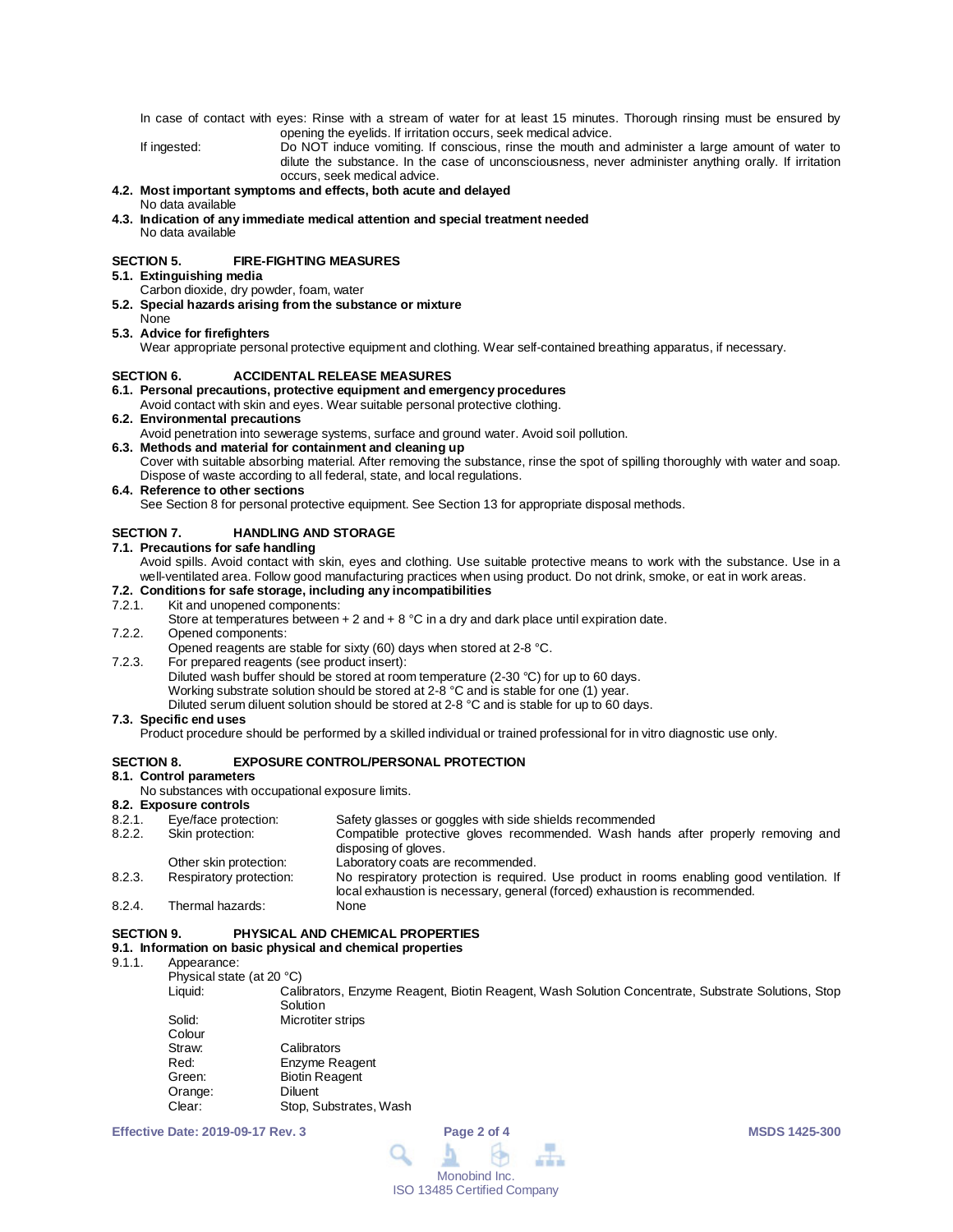In case of contact with eyes: Rinse with a stream of water for at least 15 minutes. Thorough rinsing must be ensured by opening the eyelids. If irritation occurs, seek medical advice.

If ingested: Do NOT induce vomiting. If conscious, rinse the mouth and administer a large amount of water to dilute the substance. In the case of unconsciousness, never administer anything orally. If irritation occurs, seek medical advice.

#### **4.2. Most important symptoms and effects, both acute and delayed** No data available

**4.3. Indication of any immediate medical attention and special treatment needed** No data available

## **SECTION 5. FIRE-FIGHTING MEASURES**

- **5.1. Extinguishing media**
	- Carbon dioxide, dry powder, foam, water
- **5.2. Special hazards arising from the substance or mixture**
- None **5.3. Advice for firefighters**

Wear appropriate personal protective equipment and clothing. Wear self-contained breathing apparatus, if necessary.

# **SECTION 6. ACCIDENTAL RELEASE MEASURES**

## **6.1. Personal precautions, protective equipment and emergency procedures**

Avoid contact with skin and eyes. Wear suitable personal protective clothing.

**6.2. Environmental precautions**

Avoid penetration into sewerage systems, surface and ground water. Avoid soil pollution.

## **6.3. Methods and material for containment and cleaning up**

Cover with suitable absorbing material. After removing the substance, rinse the spot of spilling thoroughly with water and soap. Dispose of waste according to all federal, state, and local regulations.

### **6.4. Reference to other sections**

See Section 8 for personal protective equipment. See Section 13 for appropriate disposal methods.

## **SECTION 7. HANDLING AND STORAGE**

**7.1. Precautions for safe handling**

Avoid spills. Avoid contact with skin, eyes and clothing. Use suitable protective means to work with the substance. Use in a well-ventilated area. Follow good manufacturing practices when using product. Do not drink, smoke, or eat in work areas.

# **7.2. Conditions for safe storage, including any incompatibilities**

Kit and unopened components:

Store at temperatures between  $+ 2$  and  $+ 8$  °C in a dry and dark place until expiration date.

7.2.2. Opened components:

Opened reagents are stable for sixty (60) days when stored at 2-8 °C.

7.2.3. For prepared reagents (see product insert): Diluted wash buffer should be stored at room temperature (2-30 °C) for up to 60 days. Working substrate solution should be stored at 2-8 °C and is stable for one (1) year. Diluted serum diluent solution should be stored at 2-8 °C and is stable for up to 60 days.

## **7.3. Specific end uses**

Product procedure should be performed by a skilled individual or trained professional for in vitro diagnostic use only.

# **SECTION 8. EXPOSURE CONTROL/PERSONAL PROTECTION**

## **8.1. Control parameters**

No substances with occupational exposure limits.

### **8.2. Exposure controls**

| 8.2.1. | Eye/face protection:    | Safety glasses or goggles with side shields recommended                                                                                                                 |
|--------|-------------------------|-------------------------------------------------------------------------------------------------------------------------------------------------------------------------|
| 8.2.2. | Skin protection:        | Compatible protective gloves recommended. Wash hands after properly removing and                                                                                        |
|        |                         | disposing of gloves.                                                                                                                                                    |
|        | Other skin protection:  | Laboratory coats are recommended.                                                                                                                                       |
| 8.2.3. | Respiratory protection: | No respiratory protection is required. Use product in rooms enabling good ventilation. If<br>local exhaustion is necessary, general (forced) exhaustion is recommended. |
| 8.2.4. | Thermal hazards:        | None                                                                                                                                                                    |

## **SECTION 9. PHYSICAL AND CHEMICAL PROPERTIES**

# **9.1. Information on basic physical and chemical properties**

- Appearance:
	- Physical state (at 20 °C)

Calibrators, Enzyme Reagent, Biotin Reagent, Wash Solution Concentrate, Substrate Solutions, Stop **Solution** 

| Microtiter strips      |
|------------------------|
|                        |
| Calibrators            |
| Enzyme Reagent         |
| <b>Biotin Reagent</b>  |
| Diluent                |
| Stop, Substrates, Wash |
|                        |

**Effective Date: 2019-09-17 Rev. 3 Page 2 of 4 MSDS 1425-300**

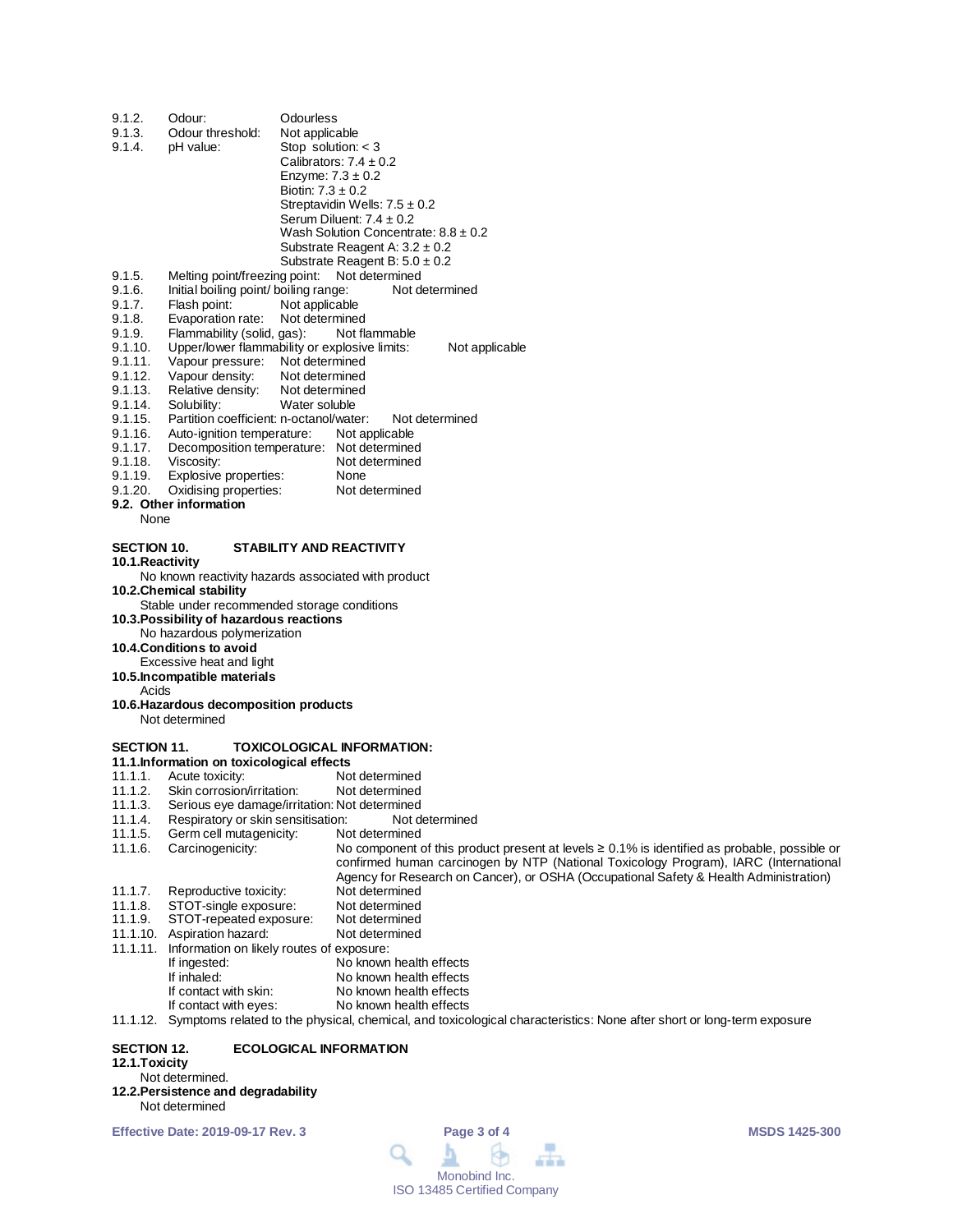| 9.1.2.             | Odour:                                                                  | Odourless                              |                                                                                                    |
|--------------------|-------------------------------------------------------------------------|----------------------------------------|----------------------------------------------------------------------------------------------------|
| 9.1.3.<br>9.1.4.   | Odour threshold:<br>pH value:                                           | Not applicable<br>Stop solution: $<$ 3 |                                                                                                    |
|                    |                                                                         |                                        | Calibrators: $7.4 \pm 0.2$                                                                         |
|                    |                                                                         | Enzyme: $7.3 \pm 0.2$                  |                                                                                                    |
|                    |                                                                         | Biotin: $7.3 \pm 0.2$                  |                                                                                                    |
|                    |                                                                         |                                        | Streptavidin Wells: $7.5 \pm 0.2$                                                                  |
|                    |                                                                         |                                        | Serum Diluent: $7.4 \pm 0.2$                                                                       |
|                    |                                                                         |                                        | Wash Solution Concentrate: $8.8 \pm 0.2$                                                           |
|                    |                                                                         |                                        | Substrate Reagent A: $3.2 \pm 0.2$<br>Substrate Reagent B: $5.0 \pm 0.2$                           |
| 9.1.5.             | Melting point/freezing point:                                           |                                        | Not determined                                                                                     |
| 9.1.6.             | Initial boiling point/ boiling range:                                   |                                        | Not determined                                                                                     |
| 9.1.7.             | Flash point:                                                            | Not applicable                         |                                                                                                    |
| 9.1.8.             | Evaporation rate:                                                       | Not determined                         |                                                                                                    |
| 9.1.9.             | Flammability (solid, gas):                                              |                                        | Not flammable                                                                                      |
| 9.1.10.            | Upper/lower flammability or explosive limits:                           |                                        | Not applicable                                                                                     |
| 9.1.11.            | Vapour pressure: Not determined                                         |                                        |                                                                                                    |
| 9.1.12.            | Vapour density:                                                         | Not determined                         |                                                                                                    |
| 9.1.13.            | Relative density:                                                       | Not determined                         |                                                                                                    |
| 9.1.14.<br>9.1.15. | Solubility:<br>Partition coefficient: n-octanol/water:                  | Water soluble                          | Not determined                                                                                     |
| 9.1.16.            | Auto-ignition temperature:                                              |                                        | Not applicable                                                                                     |
| 9.1.17.            | Decomposition temperature: Not determined                               |                                        |                                                                                                    |
| 9.1.18.            | Viscosity:                                                              |                                        | Not determined                                                                                     |
| 9.1.19.            | Explosive properties:                                                   |                                        | None                                                                                               |
| 9.1.20.            | Oxidising properties:                                                   |                                        | Not determined                                                                                     |
|                    | 9.2. Other information                                                  |                                        |                                                                                                    |
| None               |                                                                         |                                        |                                                                                                    |
| <b>SECTION 10.</b> |                                                                         |                                        | STABILITY AND REACTIVITY                                                                           |
| 10.1.Reactivity    |                                                                         |                                        |                                                                                                    |
|                    | No known reactivity hazards associated with product                     |                                        |                                                                                                    |
|                    | 10.2. Chemical stability<br>Stable under recommended storage conditions |                                        |                                                                                                    |
|                    | 10.3. Possibility of hazardous reactions                                |                                        |                                                                                                    |
|                    | No hazardous polymerization                                             |                                        |                                                                                                    |
|                    | 10.4. Conditions to avoid                                               |                                        |                                                                                                    |
|                    | Excessive heat and light                                                |                                        |                                                                                                    |
|                    | 10.5. Incompatible materials                                            |                                        |                                                                                                    |
| Acids              | 10.6. Hazardous decomposition products                                  |                                        |                                                                                                    |
|                    | Not determined                                                          |                                        |                                                                                                    |
|                    |                                                                         |                                        |                                                                                                    |
| <b>SECTION 11.</b> |                                                                         |                                        | TOXICOLOGICAL INFORMATION:                                                                         |
|                    | 11.1. Information on toxicological effects<br>Acute toxicity:           |                                        |                                                                                                    |
| 11.1.1.<br>11.1.2. | Skin corrosion/irritation:                                              |                                        | Not determined<br>Not determined                                                                   |
| 11.1.3.            | Serious eye damage/irritation: Not determined                           |                                        |                                                                                                    |
| 11.1.4.            | Respiratory or skin sensitisation:                                      |                                        | Not determined                                                                                     |
| 11.1.5.            | Germ cell mutagenicity:                                                 |                                        | Not determined                                                                                     |
| 11.1.6.            | Carcinogenicity:                                                        |                                        | No component of this product present at levels $\geq 0.1\%$ is identified as probable, possible or |
|                    |                                                                         |                                        | confirmed human carcinogen by NTP (National Toxicology Program), IARC (International               |
|                    |                                                                         |                                        | Agency for Research on Cancer), or OSHA (Occupational Safety & Health Administration)              |
| 11.1.7.            | Reproductive toxicity:                                                  |                                        | Not determined                                                                                     |
| 11.1.8.<br>11.1.9. | STOT-single exposure:<br>STOT-repeated exposure:                        |                                        | Not determined<br>Not determined                                                                   |
|                    |                                                                         |                                        |                                                                                                    |

- 11.1.10. Aspiration hazard: Not determined
- 
- 11.1.11. Information on likely routes of exposure:
	- If ingested:  $\overline{\phantom{a}}$  No known health effects<br>If inhaled: No known health effects
		- No known health effects<br>No known health effects
		- If contact with skin:<br>If contact with eyes: No known health effects
- 11.1.12. Symptoms related to the physical, chemical, and toxicological characteristics: None after short or long-term exposure

# **SECTION 12. ECOLOGICAL INFORMATION 12.1.Toxicity**

# Not determined.

**12.2.Persistence and degradability** Not determined

**Effective Date: 2019-09-17 Rev. 3 Page 3 of 4 MSDS 1425-300**

 $\blacksquare$ Q 血血血 Monobind Inc. ISO 13485 Certified Company